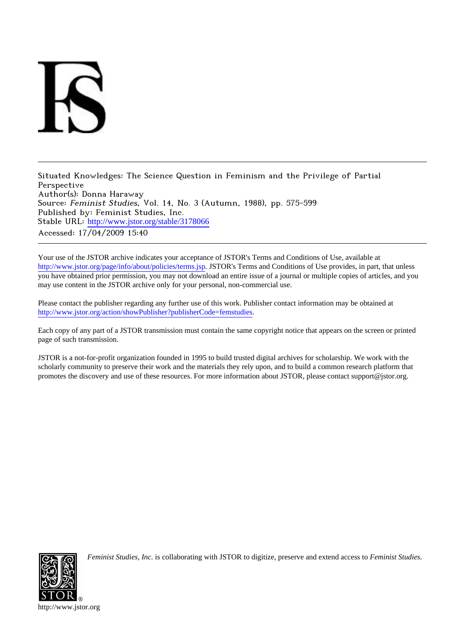

Situated Knowledges: The Science Question in Feminism and the Privilege of Partial Perspective Author(s): Donna Haraway Source: Feminist Studies, Vol. 14, No. 3 (Autumn, 1988), pp. 575-599 Published by: Feminist Studies, Inc. Stable URL: [http://www.jstor.org/stable/3178066](http://www.jstor.org/stable/3178066?origin=JSTOR-pdf) Accessed: 17/04/2009 15:40

Your use of the JSTOR archive indicates your acceptance of JSTOR's Terms and Conditions of Use, available at <http://www.jstor.org/page/info/about/policies/terms.jsp>. JSTOR's Terms and Conditions of Use provides, in part, that unless you have obtained prior permission, you may not download an entire issue of a journal or multiple copies of articles, and you may use content in the JSTOR archive only for your personal, non-commercial use.

Please contact the publisher regarding any further use of this work. Publisher contact information may be obtained at <http://www.jstor.org/action/showPublisher?publisherCode=femstudies>.

Each copy of any part of a JSTOR transmission must contain the same copyright notice that appears on the screen or printed page of such transmission.

JSTOR is a not-for-profit organization founded in 1995 to build trusted digital archives for scholarship. We work with the scholarly community to preserve their work and the materials they rely upon, and to build a common research platform that promotes the discovery and use of these resources. For more information about JSTOR, please contact support@jstor.org.



*Feminist Studies, Inc.* is collaborating with JSTOR to digitize, preserve and extend access to *Feminist Studies.*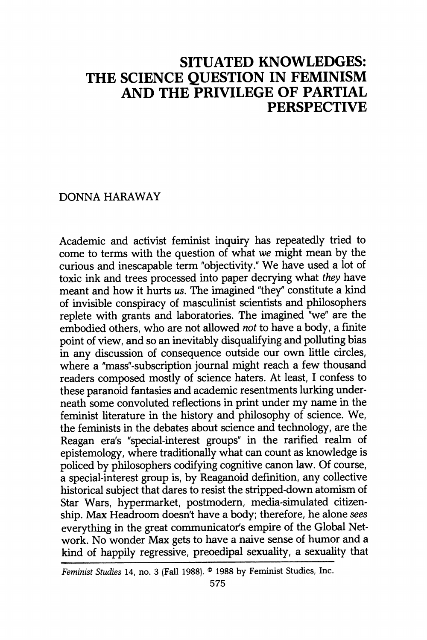# **SITUATED KNOWLEDGES: THE SCIENCE QUESTION IN FEMINISM AND THE PRIVILEGE OF PARTIAL PERSPECTIVE**

### **DONNA HARAWAY**

**Academic and activist feminist inquiry has repeatedly tried to come to terms with the question of what we might mean by the curious and inescapable term "objectivity." We have used a lot of toxic ink and trees processed into paper decrying what they have meant and how it hurts us. The imagined "they" constitute a kind of invisible conspiracy of masculinist scientists and philosophers replete with grants and laboratories. The imagined "we" are the embodied others, who are not allowed not to have a body, a finite point of view, and so an inevitably disqualifying and polluting bias in any discussion of consequence outside our own little circles, where a "mass"-subscription journal might reach a few thousand readers composed mostly of science haters. At least, I confess to these paranoid fantasies and academic resentments lurking underneath some convoluted reflections in print under my name in the feminist literature in the history and philosophy of science. We, the feminists in the debates about science and technology, are the Reagan era's "special-interest groups" in the rarified realm of epistemology, where traditionally what can count as knowledge is policed by philosophers codifying cognitive canon law. Of course, a special-interest group is, by Reaganoid definition, any collective historical subject that dares to resist the stripped-down atomism of Star Wars, hypermarket, postmodern, media-simulated citizenship. Max Headroom doesn't have a body; therefore, he alone sees everything in the great communicator's empire of the Global Network. No wonder Max gets to have a naive sense of humor and a kind of happily regressive, preoedipal sexuality, a sexuality that** 

**Feminist Studies 14, no. 3 (Fall 1988). ? 1988 by Feminist Studies, Inc.**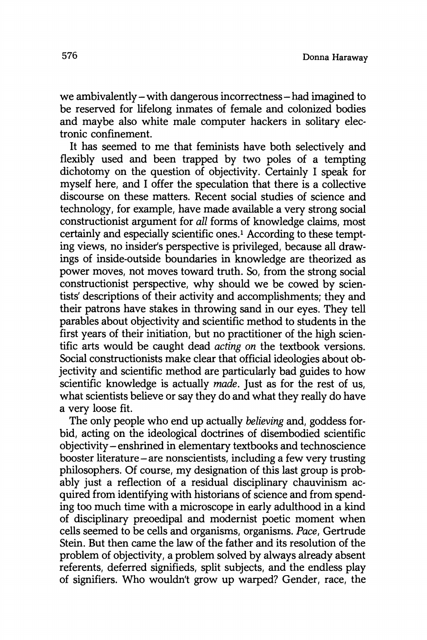**we ambivalently -with dangerous incorrectness - had imagined to be reserved for lifelong inmates of female and colonized bodies and maybe also white male computer hackers in solitary electronic confinement.** 

**It has seemed to me that feminists have both selectively and flexibly used and been trapped by two poles of a tempting dichotomy on the question of objectivity. Certainly I speak for myself here, and I offer the speculation that there is a collective discourse on these matters. Recent social studies of science and technology, for example, have made available a very strong social constructionist argument for all forms of knowledge claims, most certainly and especially scientific ones.' According to these tempting views, no insider's perspective is privileged, because all drawings of inside-outside boundaries in knowledge are theorized as power moves, not moves toward truth. So, from the strong social constructionist perspective, why should we be cowed by scientists' descriptions of their activity and accomplishments; they and their patrons have stakes in throwing sand in our eyes. They tell parables about objectivity and scientific method to students in the first years of their initiation, but no practitioner of the high scientific arts would be caught dead acting on the textbook versions. Social constructionists make clear that official ideologies about objectivity and scientific method are particularly bad guides to how scientific knowledge is actually made. Just as for the rest of us, what scientists believe or say they do and what they really do have a very loose fit.** 

**The only people who end up actually believing and, goddess forbid, acting on the ideological doctrines of disembodied scientific objectivity-enshrined in elementary textbooks and technoscience booster literature-are nonscientists, including a few very trusting philosophers. Of course, my designation of this last group is probably just a reflection of a residual disciplinary chauvinism acquired from identifying with historians of science and from spending too much time with a microscope in early adulthood in a kind of disciplinary preoedipal and modernist poetic moment when cells seemed to be cells and organisms, organisms. Pace, Gertrude Stein. But then came the law of the father and its resolution of the problem of objectivity, a problem solved by always already absent referents, deferred signifieds, split subjects, and the endless play of signifiers. Who wouldn't grow up warped? Gender, race, the**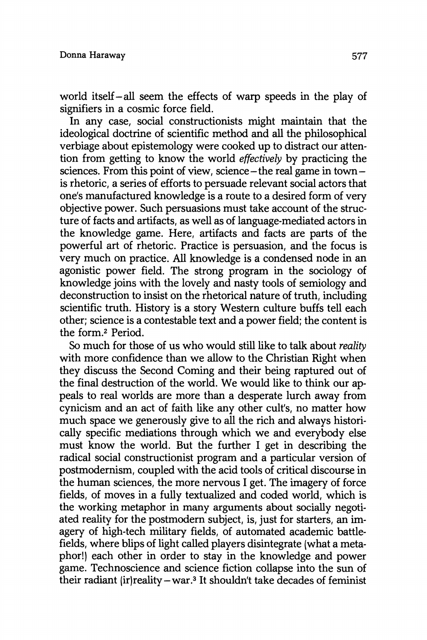**world itself-all seem the effects of warp speeds in the play of signifiers in a cosmic force field.** 

**In any case, social constructionists might maintain that the ideological doctrine of scientific method and all the philosophical verbiage about epistemology were cooked up to distract our attention from getting to know the world effectively by practicing the sciences. From this point of view, science -the real game in town is rhetoric, a series of efforts to persuade relevant social actors that one's manufactured knowledge is a route to a desired form of very objective power. Such persuasions must take account of the structure of facts and artifacts, as well as of language-mediated actors in the knowledge game. Here, artifacts and facts are parts of the powerful art of rhetoric. Practice is persuasion, and the focus is very much on practice. All knowledge is a condensed node in an agonistic power field. The strong program in the sociology of knowledge joins with the lovely and nasty tools of semiology and deconstruction to insist on the rhetorical nature of truth, including scientific truth. History is a story Western culture buffs tell each other; science is a contestable text and a power field; the content is the form.2 Period.** 

**So much for those of us who would still like to talk about reality with more confidence than we allow to the Christian Right when they discuss the Second Coming and their being raptured out of the final destruction of the world. We would like to think our appeals to real worlds are more than a desperate lurch away from cynicism and an act of faith like any other cult's, no matter how much space we generously give to all the rich and always historically specific mediations through which we and everybody else must know the world. But the further I get in describing the radical social constructionist program and a particular version of postmodernism, coupled with the acid tools of critical discourse in the human sciences, the more nervous I get. The imagery of force fields, of moves in a fully textualized and coded world, which is the working metaphor in many arguments about socially negotiated reality for the postmodern subject, is, just for starters, an imagery of high-tech military fields, of automated academic battlefields, where blips of light called players disintegrate (what a metaphor!) each other in order to stay in the knowledge and power game. Technoscience and science fiction collapse into the sun of their radiant (ir)reality-war.3 It shouldn't take decades of feminist**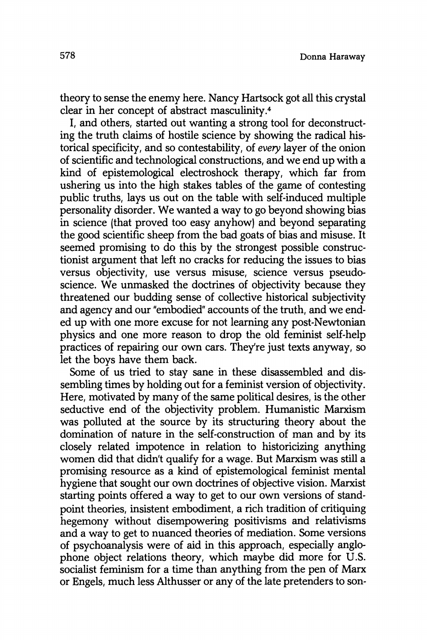**theory to sense the enemy here. Nancy Hartsock got all this crystal clear in her concept of abstract masculinity.4** 

**I, and others, started out wanting a strong tool for deconstructing the truth claims of hostile science by showing the radical historical specificity, and so contestability, of every layer of the onion of scientific and technological constructions, and we end up with a kind of epistemological electroshock therapy, which far from ushering us into the high stakes tables of the game of contesting public truths, lays us out on the table with self-induced multiple personality disorder. We wanted a way to go beyond showing bias in science (that proved too easy anyhow) and beyond separating the good scientific sheep from the bad goats of bias and misuse. It seemed promising to do this by the strongest possible constructionist argument that left no cracks for reducing the issues to bias versus objectivity, use versus misuse, science versus pseudoscience. We unmasked the doctrines of objectivity because they threatened our budding sense of collective historical subjectivity and agency and our "embodied" accounts of the truth, and we ended up with one more excuse for not learning any post-Newtonian physics and one more reason to drop the old feminist self-help practices of repairing our own cars. They're just texts anyway, so let the boys have them back.** 

**Some of us tried to stay sane in these disassembled and dissembling times by holding out for a feminist version of objectivity. Here, motivated by many of the same political desires, is the other seductive end of the objectivity problem. Humanistic Marxism was polluted at the source by its structuring theory about the domination of nature in the self-construction of man and by its closely related impotence in relation to historicizing anything women did that didn't qualify for a wage. But Marxism was still a promising resource as a kind of epistemological feminist mental hygiene that sought our own doctrines of objective vision. Marxist starting points offered a way to get to our own versions of standpoint theories, insistent embodiment, a rich tradition of critiquing hegemony without disempowering positivisms and relativisms and a way to get to nuanced theories of mediation. Some versions of psychoanalysis were of aid in this approach, especially anglophone object relations theory, which maybe did more for U.S. socialist feminism for a time than anything from the pen of Marx or Engels, much less Althusser or any of the late pretenders to son-**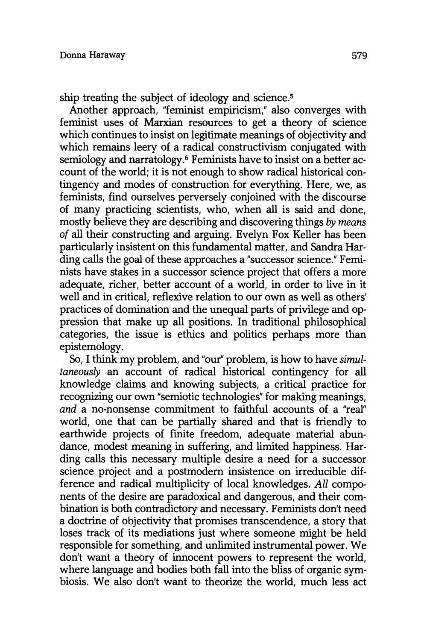**ship treating the subject of ideology and science.5** 

**Another approach, "feminist empiricism," also converges with feminist uses of Marxian resources to get a theory of science which continues to insist on legitimate meanings of objectivity and which remains leery of a radical constructivism conjugated with semiology and narratology.6 Feminists have to insist on a better account of the world; it is not enough to show radical historical contingency and modes of construction for everything. Here, we, as feminists, find ourselves perversely conjoined with the discourse of many practicing scientists, who, when all is said and done, mostly believe they are describing and discovering things by means of all their constructing and arguing. Evelyn Fox Keller has been particularly insistent on this fundamental matter, and Sandra Harding calls the goal of these approaches a "successor science." Feminists have stakes in a successor science project that offers a more adequate, richer, better account of a world, in order to live in it well and in critical, reflexive relation to our own as well as others' practices of domination and the unequal parts of privilege and oppression that make up all positions. In traditional philosophical categories, the issue is ethics and politics perhaps more than epistemology.** 

**So, I think my problem, and "our" problem, is how to have simultaneously an account of radical historical contingency for all knowledge claims and knowing subjects, a critical practice for recognizing our own "semiotic technologies" for making meanings, and a no-nonsense commitment to faithful accounts of a "real" world, one that can be partially shared and that is friendly to earthwide projects of finite freedom, adequate material abundance, modest meaning in suffering, and limited happiness. Harding calls this necessary multiple desire a need for a successor science project and a postmodern insistence on irreducible difference and radical multiplicity of local knowledges. All components of the desire are paradoxical and dangerous, and their combination is both contradictory and necessary. Feminists don't need a doctrine of objectivity that promises transcendence, a story that loses track of its mediations just where someone might be held responsible for something, and unlimited instrumental power. We don't want a theory of innocent powers to represent the world, where language and bodies both fall into the bliss of organic symbiosis. We also don't want to theorize the world, much less act**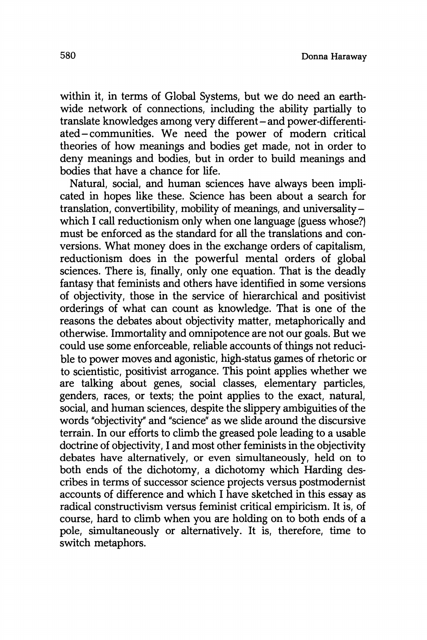**within it, in terms of Global Systems, but we do need an earthwide network of connections, including the ability partially to translate knowledges among very different-and power-differentiated - communities. We need the power of modern critical theories of how meanings and bodies get made, not in order to deny meanings and bodies, but in order to build meanings and bodies that have a chance for life.** 

**Natural, social, and human sciences have always been implicated in hopes like these. Science has been about a search for translation, convertibility, mobility of meanings, and universalitywhich I call reductionism only when one language (guess whose?) must be enforced as the standard for all the translations and conversions. What money does in the exchange orders of capitalism, reductionism does in the powerful mental orders of global sciences. There is, finally, only one equation. That is the deadly fantasy that feminists and others have identified in some versions of objectivity, those in the service of hierarchical and positivist orderings of what can count as knowledge. That is one of the reasons the debates about objectivity matter, metaphorically and otherwise. Immortality and omnipotence are not our goals. But we could use some enforceable, reliable accounts of things not reducible to power moves and agonistic, high-status games of rhetoric or to scientistic, positivist arrogance. This point applies whether we are talking about genes, social classes, elementary particles, genders, races, or texts; the point applies to the exact, natural, social, and human sciences, despite the slippery ambiguities of the words "objectivity" and "science" as we slide around the discursive terrain. In our efforts to climb the greased pole leading to a usable doctrine of objectivity, I and most other feminists in the objectivity debates have alternatively, or even simultaneously, held on to both ends of the dichotomy, a dichotomy which Harding describes in terms of successor science projects versus postmodernist accounts of difference and which I have sketched in this essay as radical constructivism versus feminist critical empiricism. It is, of course, hard to climb when you are holding on to both ends of a pole, simultaneously or alternatively. It is, therefore, time to switch metaphors.**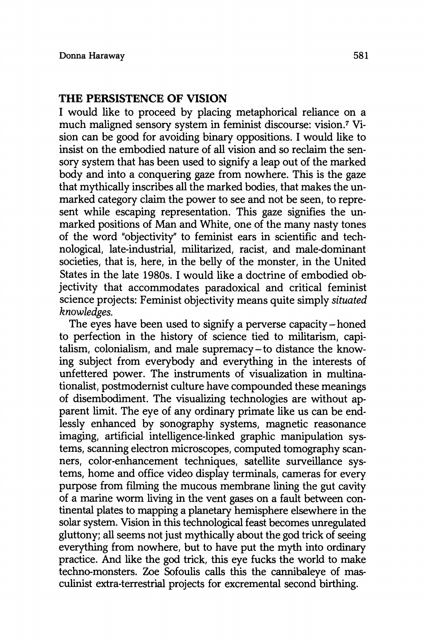### **THE PERSISTENCE OF VISION**

**I would like to proceed by placing metaphorical reliance on a much maligned sensory system in feminist discourse: vision.7 Vision can be good for avoiding binary oppositions. I would like to insist on the embodied nature of all vision and so reclaim the sensory system that has been used to signify a leap out of the marked body and into a conquering gaze from nowhere. This is the gaze that mythically inscribes all the marked bodies, that makes the unmarked category claim the power to see and not be seen, to represent while escaping representation. This gaze signifies the unmarked positions of Man and White, one of the many nasty tones of the word "objectivity" to feminist ears in scientific and technological, late-industrial, militarized, racist, and male-dominant societies, that is, here, in the belly of the monster, in the United States in the late 1980s. I would like a doctrine of embodied objectivity that accommodates paradoxical and critical feminist science projects: Feminist objectivity means quite simply situated knowledges.** 

**The eyes have been used to signify a perverse capacity-honed to perfection in the history of science tied to militarism, capitalism, colonialism, and male supremacy-to distance the knowing subject from everybody and everything in the interests of unfettered power. The instruments of visualization in multinationalist, postmodernist culture have compounded these meanings of disembodiment. The visualizing technologies are without apparent limit. The eye of any ordinary primate like us can be endlessly enhanced by sonography systems, magnetic reasonance imaging, artificial intelligence-linked graphic manipulation systems, scanning electron microscopes, computed tomography scanners, color-enhancement techniques, satellite surveillance systems, home and office video display terminals, cameras for every purpose from filming the mucous membrane lining the gut cavity of a marine worm living in the vent gases on a fault between continental plates to mapping a planetary hemisphere elsewhere in the solar system. Vision in this technological feast becomes unregulated gluttony; all seems not just mythically about the god trick of seeing everything from nowhere, but to have put the myth into ordinary practice. And like the god trick, this eye fucks the world to make techno-monsters. Zoe Sofoulis calls this the cannibaleye of masculinist extra-terrestrial projects for excremental second birthing.**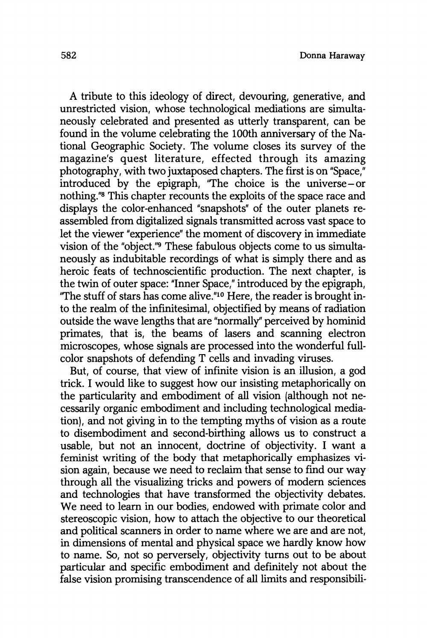**A tribute to this ideology of direct, devouring, generative, and unrestricted vision, whose technological mediations are simultaneously celebrated and presented as utterly transparent, can be found in the volume celebrating the 100th anniversary of the National Geographic Society. The volume closes its survey of the magazine's quest literature, effected through its amazing photography, with two juxtaposed chapters. The first is on "Space," introduced by the epigraph, "The choice is the universe-or nothing."8 This chapter recounts the exploits of the space race and displays the color-enhanced "snapshots" of the outer planets reassembled from digitalized signals transmitted across vast space to let the viewer "experience" the moment of discovery in immediate vision of the "object."9 These fabulous objects come to us simultaneously as indubitable recordings of what is simply there and as heroic feats of technoscientific production. The next chapter, is the twin of outer space: "Inner Space," introduced by the epigraph, "The stuff of stars has come alive."10 Here, the reader is brought into the realm of the infinitesimal, objectified by means of radiation outside the wave lengths that are "normally" perceived by hominid primates, that is, the beams of lasers and scanning electron microscopes, whose signals are processed into the wonderful fullcolor snapshots of defending T cells and invading viruses.** 

**But, of course, that view of infinite vision is an illusion, a god trick. I would like to suggest how our insisting metaphorically on the particularity and embodiment of all vision (although not necessarily organic embodiment and including technological mediation), and not giving in to the tempting myths of vision as a route to disembodiment and second-birthing allows us to construct a usable, but not an innocent, doctrine of objectivity. I want a feminist writing of the body that metaphorically emphasizes vision again, because we need to reclaim that sense to find our way through all the visualizing tricks and powers of modem sciences and technologies that have transformed the objectivity debates. We need to learn in our bodies, endowed with primate color and stereoscopic vision, how to attach the objective to our theoretical and political scanners in order to name where we are and are not, in dimensions of mental and physical space we hardly know how to name. So, not so perversely, objectivity turns out to be about particular and specific embodiment and definitely not about the false vision promising transcendence of all limits and responsibili-**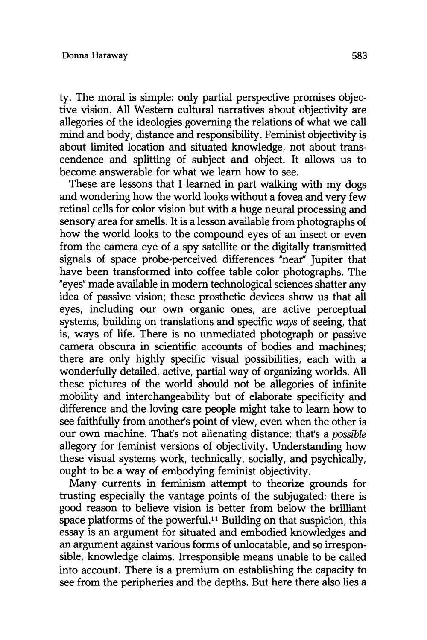**ty. The moral is simple: only partial perspective promises objective vision. All Western cultural narratives about objectivity are allegories of the ideologies governing the relations of what we call mind and body, distance and responsibility. Feminist objectivity is about limited location and situated knowledge, not about transcendence and splitting of subject and object. It allows us to become answerable for what we learn how to see.** 

**These are lessons that I learned in part walking with my dogs and wondering how the world looks without a fovea and very few retinal cells for color vision but with a huge neural processing and sensory area for smells. It is a lesson available from photographs of how the world looks to the compound eyes of an insect or even from the camera eye of a spy satellite or the digitally transmitted signals of space probe-perceived differences "near" Jupiter that have been transformed into coffee table color photographs. The "eyes" made available in modern technological sciences shatter any idea of passive vision; these prosthetic devices show us that all eyes, including our own organic ones, are active perceptual systems, building on translations and specific ways of seeing, that is, ways of life. There is no unmediated photograph or passive camera obscura in scientific accounts of bodies and machines; there are only highly specific visual possibilities, each with a wonderfully detailed, active, partial way of organizing worlds. All these pictures of the world should not be allegories of infinite mobility and interchangeability but of elaborate specificity and difference and the loving care people might take to learn how to see faithfully from another's point of view, even when the other is our own machine. That's not alienating distance; that's a possible allegory for feminist versions of objectivity. Understanding how these visual systems work, technically, socially, and psychically, ought to be a way of embodying feminist objectivity.** 

**Many currents in feminism attempt to theorize grounds for trusting especially the vantage points of the subjugated; there is good reason to believe vision is better from below the brilliant space platforms of the powerful." Building on that suspicion, this essay is an argument for situated and embodied knowledges and an argument against various forms of unlocatable, and so irresponsible, knowledge claims. Irresponsible means unable to be called into account. There is a premium on establishing the capacity to see from the peripheries and the depths. But here there also lies a**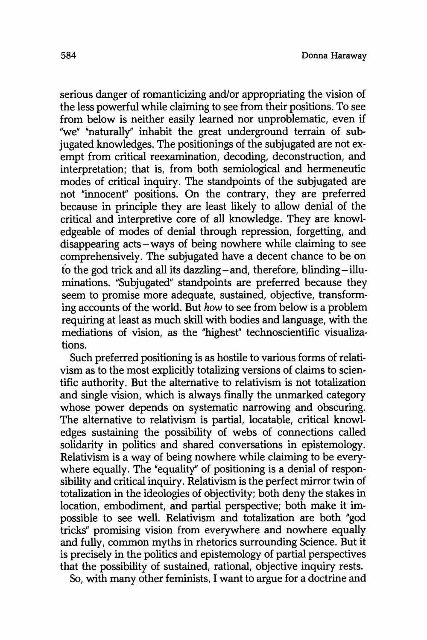**serious danger of romanticizing and/or appropriating the vision of the less powerful while claiming to see from their positions. To see from below is neither easily learned nor unproblematic, even if "we" "naturally" inhabit the great underground terrain of subjugated knowledges. The positionings of the subjugated are not exempt from critical reexamination, decoding, deconstruction, and interpretation; that is, from both semiological and hermeneutic modes of critical inquiry. The standpoints of the subjugated are not "innocent" positions. On the contrary, they are preferred because in principle they are least likely to allow denial of the critical and interpretive core of all knowledge. They are knowledgeable of modes of denial through repression, forgetting, and disappearing acts-ways of being nowhere while claiming to see comprehensively. The subjugated have a decent chance to be on to the god trick and all its dazzling-and, therefore, blinding-illuminations. "Subjugated" standpoints are preferred because they seem to promise more adequate, sustained, objective, transforming accounts of the world. But how to see from below is a problem requiring at least as much skill with bodies and language, with the mediations of vision, as the "highest' technoscientific visualizations.** 

**Such preferred positioning is as hostile to various forms of relativism as to the most explicitly totalizing versions of claims to scientific authority. But the alternative to relativism is not totalization and single vision, which is always finally the unmarked category whose power depends on systematic narrowing and obscuring. The alternative to relativism is partial, locatable, critical knowledges sustaining the possibility of webs of connections called solidarity in politics and shared conversations in epistemology. Relativism is a way of being nowhere while claiming to be everywhere equally. The "equality" of positioning is a denial of responsibility and critical inquiry. Relativism is the perfect mirror twin of totalization in the ideologies of objectivity; both deny the stakes in location, embodiment, and partial perspective; both make it impossible to see well. Relativism and totalization are both "god tricks" promising vision from everywhere and nowhere equally and fully, common myths in rhetorics surrounding Science. But it is precisely in the politics and epistemology of partial perspectives that the possibility of sustained, rational, objective inquiry rests.** 

**So, with many other feminists, I want to argue for a doctrine and**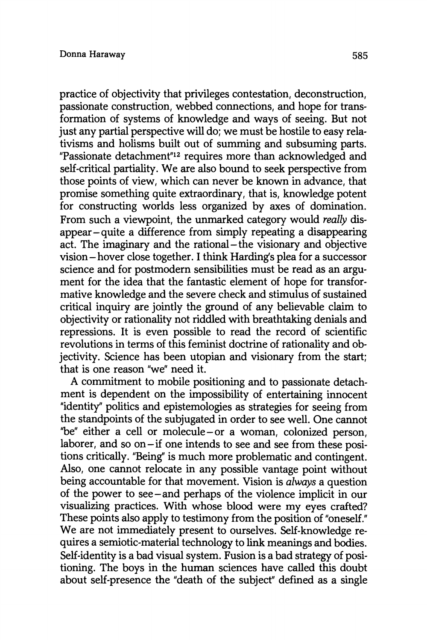**practice of objectivity that privileges contestation, deconstruction, passionate construction, webbed connections, and hope for transformation of systems of knowledge and ways of seeing. But not just any partial perspective will do; we must be hostile to easy relativisms and holisms built out of summing and subsuming parts. "Passionate detachment"12 requires more than acknowledged and self-critical partiality. We are also bound to seek perspective from those points of view, which can never be known in advance, that promise something quite extraordinary, that is, knowledge potent for constructing worlds less organized by axes of domination. From such a viewpoint, the unmarked category would really disappear-quite a difference from simply repeating a disappearing act. The imaginary and the rational-the visionary and objective vision - hover close together. I think Harding's plea for a successor science and for postmodern sensibilities must be read as an argument for the idea that the fantastic element of hope for transformative knowledge and the severe check and stimulus of sustained critical inquiry are jointly the ground of any believable claim to objectivity or rationality not riddled with breathtaking denials and repressions. It is even possible to read the record of scientific revolutions in terms of this feminist doctrine of rationality and objectivity. Science has been utopian and visionary from the start; that is one reason "we" need it.** 

**A commitment to mobile positioning and to passionate detachment is dependent on the impossibility of entertaining innocent "identity" politics and epistemologies as strategies for seeing from the standpoints of the subjugated in order to see well. One cannot "be" either a cell or molecule-or a woman, colonized person, laborer, and so on-if one intends to see and see from these positions critically. "Being" is much more problematic and contingent. Also, one cannot relocate in any possible vantage point without being accountable for that movement. Vision is always a question of the power to see-and perhaps of the violence implicit in our visualizing practices. With whose blood were my eyes crafted? These points also apply to testimony from the position of "oneself." We are not immediately present to ourselves. Self-knowledge requires a semiotic-material technology to link meanings and bodies. Self-identity is a bad visual system. Fusion is a bad strategy of positioning. The boys in the human sciences have called this doubt about self-presence the "death of the subject" defined as a single**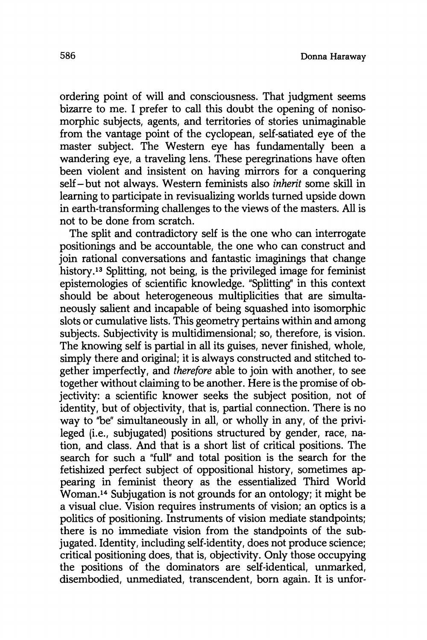**ordering point of will and consciousness. That judgment seems bizarre to me. I prefer to call this doubt the opening of nonisomorphic subjects, agents, and territories of stories unimaginable from the vantage point of the cyclopean, self-satiated eye of the master subject. The Western eye has fundamentally been a wandering eye, a traveling lens. These peregrinations have often been violent and insistent on having mirrors for a conquering self-but not always. Western feminists also inherit some skill in learning to participate in revisualizing worlds turned upside down in earth-transforming challenges to the views of the masters. All is not to be done from scratch.** 

**The split and contradictory self is the one who can interrogate positionings and be accountable, the one who can construct and join rational conversations and fantastic imaginings that change history.13 Splitting, not being, is the privileged image for feminist epistemologies of scientific knowledge. "Splitting" in this context should be about heterogeneous multiplicities that are simultaneously salient and incapable of being squashed into isomorphic slots or cumulative lists. This geometry pertains within and among subjects. Subjectivity is multidimensional; so, therefore, is vision. The knowing self is partial in all its guises, never finished, whole, simply there and original; it is always constructed and stitched together imperfectly, and therefore able to join with another, to see together without claiming to be another. Here is the promise of objectivity: a scientific knower seeks the subject position, not of identity, but of objectivity, that is, partial connection. There is no way to "be" simultaneously in all, or wholly in any, of the privileged (i.e., subjugated) positions structured by gender, race, nation, and class. And that is a short list of critical positions. The search for such a "full" and total position is the search for the fetishized perfect subject of oppositional history, sometimes appearing in feminist theory as the essentialized Third World Woman.14 Subjugation is not grounds for an ontology; it might be a visual clue. Vision requires instruments of vision; an optics is a politics of positioning. Instruments of vision mediate standpoints; there is no immediate vision from the standpoints of the subjugated. Identity, including self-identity, does not produce science; critical positioning does, that is, objectivity. Only those occupying the positions of the dominators are self-identical, unmarked, disembodied, unmediated, transcendent, born again. It is unfor-**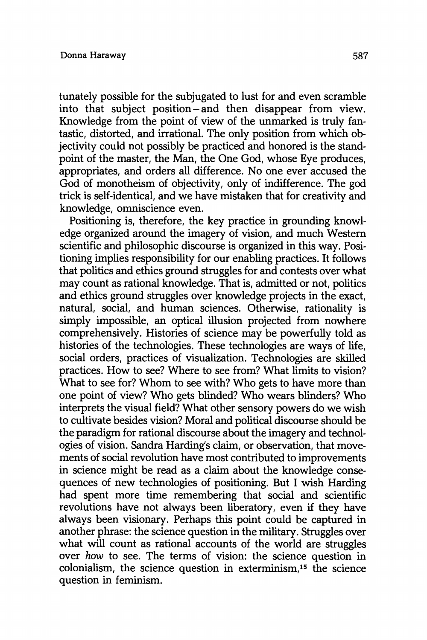**tunately possible for the subjugated to lust for and even scramble into that subject position-and then disappear from view. Knowledge from the point of view of the unmarked is truly fantastic, distorted, and irrational. The only position from which objectivity could not possibly be practiced and honored is the standpoint of the master, the Man, the One God, whose Eye produces, appropriates, and orders all difference. No one ever accused the God of monotheism of objectivity, only of indifference. The god trick is self-identical, and we have mistaken that for creativity and knowledge, omniscience even.** 

**Positioning is, therefore, the key practice in grounding knowledge organized around the imagery of vision, and much Western scientific and philosophic discourse is organized in this way. Positioning implies responsibility for our enabling practices. It follows that politics and ethics ground struggles for and contests over what may count as rational knowledge. That is, admitted or not, politics and ethics ground struggles over knowledge projects in the exact, natural, social, and human sciences. Otherwise, rationality is simply impossible, an optical illusion projected from nowhere comprehensively. Histories of science may be powerfully told as histories of the technologies. These technologies are ways of life, social orders, practices of visualization. Technologies are skilled practices. How to see? Where to see from? What limits to vision? What to see for? Whom to see with? Who gets to have more than one point of view? Who gets blinded? Who wears blinders? Who interprets the visual field? What other sensory powers do we wish to cultivate besides vision? Moral and political discourse should be the paradigm for rational discourse about the imagery and technologies of vision. Sandra Harding's claim, or observation, that movements of social revolution have most contributed to improvements in science might be read as a claim about the knowledge consequences of new technologies of positioning. But I wish Harding had spent more time remembering that social and scientific revolutions have not always been liberatory, even if they have always been visionary. Perhaps this point could be captured in another phrase: the science question in the military. Struggles over what will count as rational accounts of the world are struggles over how to see. The terms of vision: the science question in**  colonialism, the science question in exterminism,<sup>15</sup> the science **question in feminism.**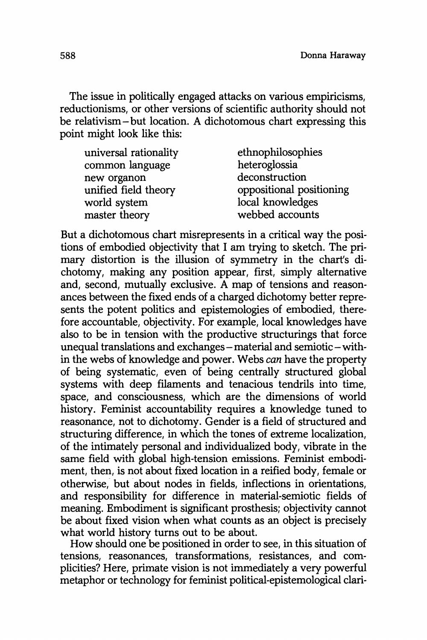**The issue in politically engaged attacks on various empiricisms, reductionisms, or other versions of scientific authority should not be relativism-but location. A dichotomous chart expressing this point might look like this:** 

| universal rationality | ethnophilosophies        |
|-----------------------|--------------------------|
| common language       | heteroglossia            |
| new organon           | deconstruction           |
| unified field theory  | oppositional positioning |
| world system          | local knowledges         |
| master theory         | webbed accounts          |

**But a dichotomous chart misrepresents in a critical way the positions of embodied objectivity that I am trying to sketch. The primary distortion is the illusion of symmetry in the chart's dichotomy, making any position appear, first, simply alternative and, second, mutually exclusive. A map of tensions and reasonances between the fixed ends of a charged dichotomy better represents the potent politics and epistemologies of embodied, therefore accountable, objectivity. For example, local knowledges have also to be in tension with the productive structurings that force**  unequal translations and exchanges – material and semiotic – with**in the webs of knowledge and power. Webs can have the property of being systematic, even of being centrally structured global systems with deep filaments and tenacious tendrils into time, space, and consciousness, which are the dimensions of world history. Feminist accountability requires a knowledge tuned to reasonance, not to dichotomy. Gender is a field of structured and structuring difference, in which the tones of extreme localization, of the intimately personal and individualized body, vibrate in the same field with global high-tension emissions. Feminist embodiment, then, is not about fixed location in a reified body, female or otherwise, but about nodes in fields, inflections in orientations, and responsibility for difference in material-semiotic fields of meaning. Embodiment is significant prosthesis; objectivity cannot be about fixed vision when what counts as an object is precisely what world history turns out to be about.** 

**How should one be positioned in order to see, in this situation of tensions, reasonances, transformations, resistances, and complicities? Here, primate vision is not immediately a very powerful metaphor or technology for feminist political-epistemological clari-**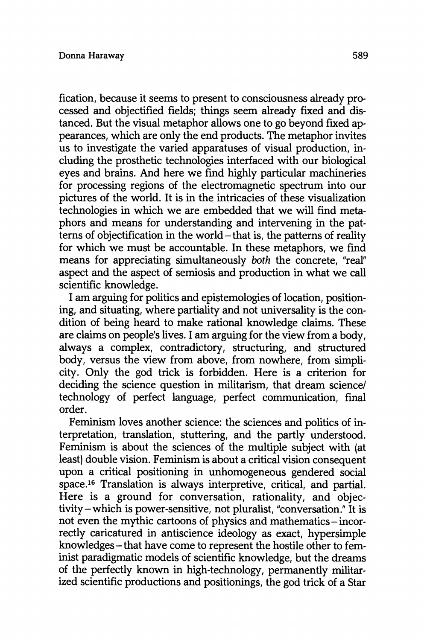**fication, because it seems to present to consciousness already processed and objectified fields; things seem already fixed and distanced. But the visual metaphor allows one to go beyond fixed appearances, which are only the end products. The metaphor invites us to investigate the varied apparatuses of visual production, including the prosthetic technologies interfaced with our biological eyes and brains. And here we find highly particular machineries for processing regions of the electromagnetic spectrum into our pictures of the world. It is in the intricacies of these visualization technologies in which we are embedded that we will find metaphors and means for understanding and intervening in the patterns of objectification in the world-that is, the patterns of reality for which we must be accountable. In these metaphors, we find means for appreciating simultaneously both the concrete, "real" aspect and the aspect of semiosis and production in what we call scientific knowledge.** 

**I am arguing for politics and epistemologies of location, positioning, and situating, where partiality and not universality is the condition of being heard to make rational knowledge claims. These are claims on people's lives. I am arguing for the view from a body, always a complex, contradictory, structuring, and structured body, versus the view from above, from nowhere, from simplicity. Only the god trick is forbidden. Here is a criterion for deciding the science question in militarism, that dream science/ technology of perfect language, perfect communication, final order.** 

**Feminism loves another science: the sciences and politics of interpretation, translation, stuttering, and the partly understood. Feminism is about the sciences of the multiple subject with (at least) double vision. Feminism is about a critical vision consequent upon a critical positioning in unhomogeneous gendered social space.16 Translation is always interpretive, critical, and partial. Here is a ground for conversation, rationality, and objectivity - which is power-sensitive, not pluralist, "conversation." It is not even the mythic cartoons of physics and mathematics - incorrectly caricatured in antiscience ideology as exact, hypersimple knowledges -that have come to represent the hostile other to feminist paradigmatic models of scientific knowledge, but the dreams of the perfectly known in high-technology, permanently militarized scientific productions and positionings, the god trick of a Star**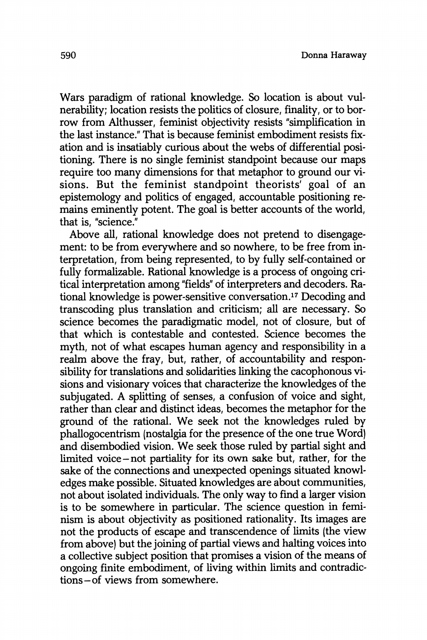**Wars paradigm of rational knowledge. So location is about vulnerability; location resists the politics of closure, finality, or to borrow from Althusser, feminist objectivity resists "simplification in the last instance." That is because feminist embodiment resists fixation and is insatiably curious about the webs of differential positioning. There is no single feminist standpoint because our maps require too many dimensions for that metaphor to ground our visions. But the feminist standpoint theorists' goal of an epistemology and politics of engaged, accountable positioning remains eminently potent. The goal is better accounts of the world, that is, "science."** 

**Above all, rational knowledge does not pretend to disengagement: to be from everywhere and so nowhere, to be free from interpretation, from being represented, to by fully self-contained or fully formalizable. Rational knowledge is a process of ongoing critical interpretation among "fields" of interpreters and decoders. Ra**tional knowledge is power-sensitive conversation.<sup>17</sup> Decoding and **transcoding plus translation and criticism; all are necessary. So science becomes the paradigmatic model, not of closure, but of that which is contestable and contested. Science becomes the myth, not of what escapes human agency and responsibility in a realm above the fray, but, rather, of accountability and responsibility for translations and solidarities linking the cacophonous visions and visionary voices that characterize the knowledges of the subjugated. A splitting of senses, a confusion of voice and sight, rather than clear and distinct ideas, becomes the metaphor for the ground of the rational. We seek not the knowledges ruled by phallogocentrism (nostalgia for the presence of the one true Word) and disembodied vision. We seek those ruled by partial sight and limited voice-not partiality for its own sake but, rather, for the sake of the connections and unexpected openings situated knowledges make possible. Situated knowledges are about communities, not about isolated individuals. The only way to find a larger vision is to be somewhere in particular. The science question in feminism is about objectivity as positioned rationality. Its images are not the products of escape and transcendence of limits (the view from above) but the joining of partial views and halting voices into a collective subject position that promises a vision of the means of ongoing finite embodiment, of living within limits and contradictions-of views from somewhere.**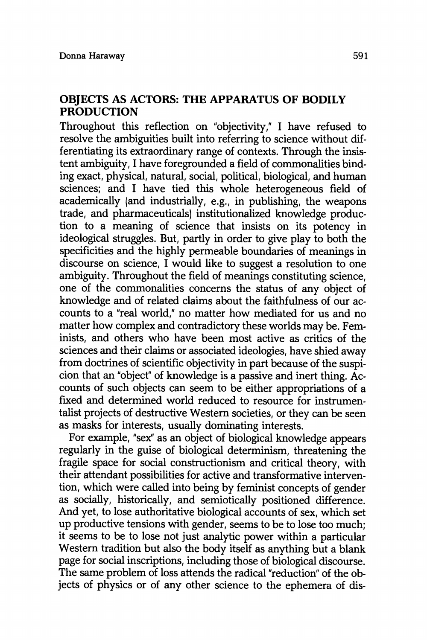## **OBJECTS AS ACTORS: THE APPARATUS OF BODILY PRODUCTION**

**Throughout this reflection on "objectivity," I have refused to resolve the ambiguities built into referring to science without differentiating its extraordinary range of contexts. Through the insistent ambiguity, I have foregrounded a field of commonalities binding exact, physical, natural, social, political, biological, and human sciences; and I have tied this whole heterogeneous field of academically (and industrially, e.g., in publishing, the weapons trade, and pharmaceuticals) institutionalized knowledge production to a meaning of science that insists on its potency in ideological struggles. But, partly in order to give play to both the specificities and the highly permeable boundaries of meanings in discourse on science, I would like to suggest a resolution to one ambiguity. Throughout the field of meanings constituting science, one of the commonalities concerns the status of any object of knowledge and of related claims about the faithfulness of our accounts to a "real world," no matter how mediated for us and no matter how complex and contradictory these worlds may be. Feminists, and others who have been most active as critics of the sciences and their claims or associated ideologies, have shied away from doctrines of scientific objectivity in part because of the suspicion that an "object" of knowledge is a passive and inert thing. Accounts of such objects can seem to be either appropriations of a fixed and determined world reduced to resource for instrumentalist projects of destructive Western societies, or they can be seen as masks for interests, usually dominating interests.** 

**For example, "sex" as an object of biological knowledge appears regularly in the guise of biological determinism, threatening the fragile space for social constructionism and critical theory, with their attendant possibilities for active and transformative intervention, which were called into being by feminist concepts of gender as socially, historically, and semiotically positioned difference. And yet, to lose authoritative biological accounts of sex, which set up productive tensions with gender, seems to be to lose too much;**  Western tradition but also the body itself as anything but a blank **page for social inscriptions, including those of biological discourse. The same problem of loss attends the radical "reduction" of the objects of physics or of any other science to the ephemera of dis-**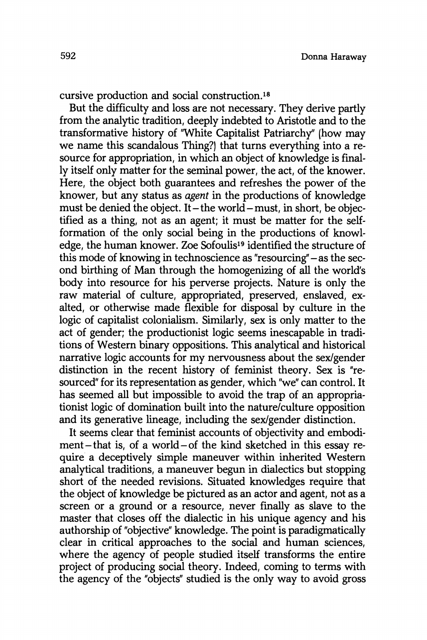**cursive production and social construction.'8** 

**But the difficulty and loss are not necessary. They derive partly from the analytic tradition, deeply indebted to Aristotle and to the transformative history of "White Capitalist Patriarchy" (how may we name this scandalous Thing?) that turns everything into a resource for appropriation, in which an object of knowledge is finally itself only matter for the seminal power, the act, of the knower. Here, the object both guarantees and refreshes the power of the knower, but any status as agent in the productions of knowledge**  must be denied the object. It – the world – must, in short, be objec**tified as a thing, not as an agent; it must be matter for the selfformation of the only social being in the productions of knowledge, the human knower. Zoe Sofoulis19 identified the structure of this mode of knowing in technoscience as "resourcing" - as the second birthing of Man through the homogenizing of all the world's body into resource for his perverse projects. Nature is only the raw material of culture, appropriated, preserved, enslaved, exalted, or otherwise made flexible for disposal by culture in the logic of capitalist colonialism. Similarly, sex is only matter to the act of gender; the productionist logic seems inescapable in traditions of Western binary oppositions. This analytical and historical narrative logic accounts for my nervousness about the sex/gender distinction in the recent history of feminist theory. Sex is "resourced" for its representation as gender, which "we" can control. It has seemed all but impossible to avoid the trap of an appropriationist logic of domination built into the nature/culture opposition and its generative lineage, including the sex/gender distinction.** 

**It seems clear that feminist accounts of objectivity and embodiment-that is, of a world-of the kind sketched in this essay require a deceptively simple maneuver within inherited Western analytical traditions, a maneuver begun in dialectics but stopping short of the needed revisions. Situated knowledges require that the object of knowledge be pictured as an actor and agent, not as a screen or a ground or a resource, never finally as slave to the master that closes off the dialectic in his unique agency and his authorship of "objective" knowledge. The point is paradigmatically clear in critical approaches to the social and human sciences, where the agency of people studied itself transforms the entire project of producing social theory. Indeed, coming to terms with the agency of the "objects" studied is the only way to avoid gross**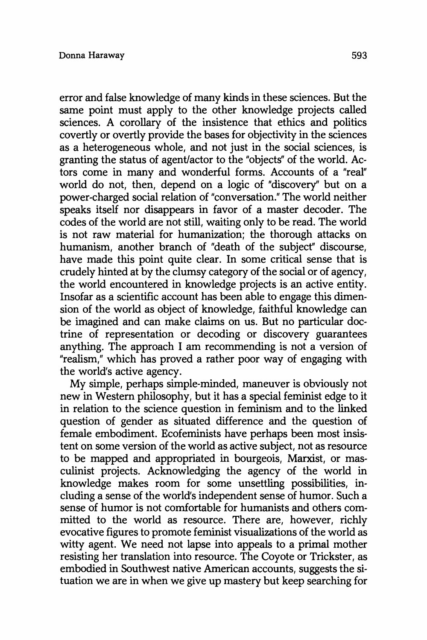**error and false knowledge of many kinds in these sciences. But the same point must apply to the other knowledge projects called sciences. A corollary of the insistence that ethics and politics covertly or overtly provide the bases for objectivity in the sciences as a heterogeneous whole, and not just in the social sciences, is granting the status of agent/actor to the "objects" of the world. Actors come in many and wonderful forms. Accounts of a "real" world do not, then, depend on a logic of "discovery" but on a power-charged social relation of "conversation." The world neither speaks itself nor disappears in favor of a master decoder. The codes of the world are not still, waiting only to be read. The world is not raw material for humanization; the thorough attacks on humanism, another branch of "death of the subject" discourse, have made this point quite clear. In some critical sense that is crudely hinted at by the clumsy category of the social or of agency, the world encountered in knowledge projects is an active entity. Insofar as a scientific account has been able to engage this dimension of the world as object of knowledge, faithful knowledge can be imagined and can make claims on us. But no particular doctrine of representation or decoding or discovery guarantees anything. The approach I am recommending is not a version of "realism," which has proved a rather poor way of engaging with the world's active agency.** 

**My simple, perhaps simple-minded, maneuver is obviously not new in Western philosophy, but it has a special feminist edge to it in relation to the science question in feminism and to the linked question of gender as situated difference and the question of female embodiment. Ecofeminists have perhaps been most insistent on some version of the world as active subject, not as resource to be mapped and appropriated in bourgeois, Marxist, or masculinist projects. Acknowledging the agency of the world in knowledge makes room for some unsettling possibilities, including a sense of the world's independent sense of humor. Such a sense of humor is not comfortable for humanists and others committed to the world as resource. There are, however, richly evocative figures to promote feminist visualizations of the world as witty agent. We need not lapse into appeals to a primal mother resisting her translation into resource. The Coyote or Trickster, as embodied in Southwest native American accounts, suggests the situation we are in when we give up mastery but keep searching for**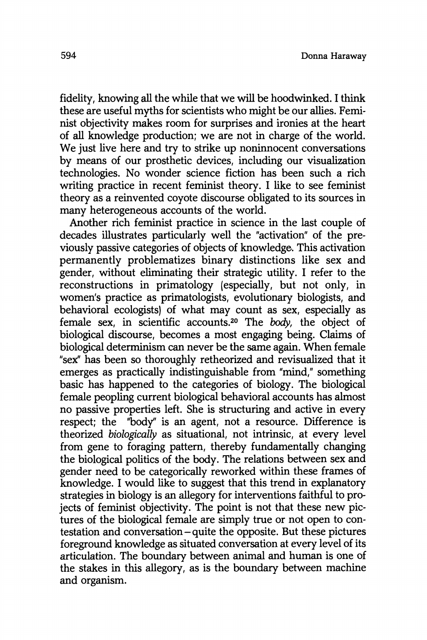**fidelity, knowing all the while that we will be hoodwinked. I think these are useful myths for scientists who might be our allies. Feminist objectivity makes room for surprises and ironies at the heart of all knowledge production; we are not in charge of the world. We just live here and try to strike up noninnocent conversations by means of our prosthetic devices, including our visualization technologies. No wonder science fiction has been such a rich writing practice in recent feminist theory. I like to see feminist theory as a reinvented coyote discourse obligated to its sources in many heterogeneous accounts of the world.** 

**Another rich feminist practice in science in the last couple of decades illustrates particularly well the "activation" of the previously passive categories of objects of knowledge. This activation permanently problematizes binary distinctions like sex and gender, without eliminating their strategic utility. I refer to the reconstructions in primatology (especially, but not only, in women's practice as primatologists, evolutionary biologists, and behavioral ecologists) of what may count as sex, especially as female sex, in scientific accounts.20 The body, the object of biological discourse, becomes a most engaging being. Claims of biological determinism can never be the same again. When female "sex"' has been so thoroughly retheorized and revisualized that it emerges as practically indistinguishable from "mind," something basic has happened to the categories of biology. The biological female peopling current biological behavioral accounts has almost no passive properties left. She is structuring and active in every respect; the "body" is an agent, not a resource. Difference is theorized biologically as situational, not intrinsic, at every level from gene to foraging pattern, thereby fundamentally changing the biological politics of the body. The relations between sex and gender need to be categorically reworked within these frames of knowledge. I would like to suggest that this trend in explanatory strategies in biology is an allegory for interventions faithful to projects of feminist objectivity. The point is not that these new pictures of the biological female are simply true or not open to contestation and conversation - quite the opposite. But these pictures foreground knowledge as situated conversation at every level of its articulation. The boundary between animal and human is one of the stakes in this allegory, as is the boundary between machine and organism.**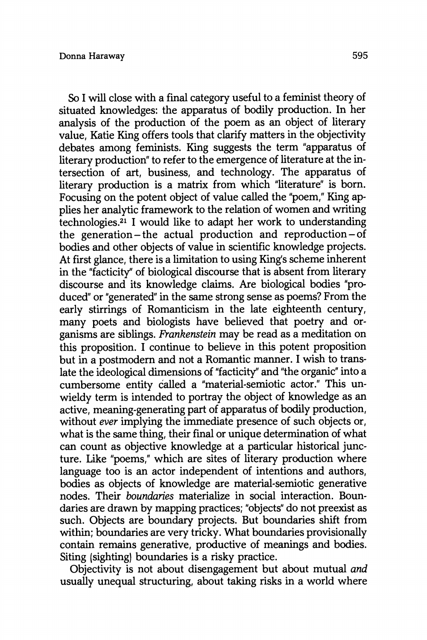**So I will close with a final category useful to a feminist theory of situated knowledges: the apparatus of bodily production. In her analysis of the production of the poem as an object of literary value, Katie King offers tools that clarify matters in the objectivity debates among feminists. King suggests the term "apparatus of literary production" to refer to the emergence of literature at the intersection of art, business, and technology. The apparatus of**  literary production is a matrix from which "literature" is born. **Focusing on the potent object of value called the "poem," King applies her analytic framework to the relation of women and writing technologies.21 I would like to adapt her work to understanding the generation-the actual production and reproduction-of bodies and other objects of value in scientific knowledge projects. At first glance, there is a limitation to using King's scheme inherent in the "facticity" of biological discourse that is absent from literary discourse and its knowledge claims. Are biological bodies "produced" or "generated" in the same strong sense as poems? From the early stirrings of Romanticism in the late eighteenth century, many poets and biologists have believed that poetry and organisms are siblings. Frankenstein may be read as a meditation on this proposition. I continue to believe in this potent proposition but in a postmodern and not a Romantic manner. I wish to translate the ideological dimensions of "facticity" and "the organic" into a cumbersome entity called a "material-semiotic actor." This unwieldy term is intended to portray the object of knowledge as an active, meaning-generating part of apparatus of bodily production, without ever implying the immediate presence of such objects or, what is the same thing, their final or unique determination of what can count as objective knowledge at a particular historical juncture. Like "poems," which are sites of literary production where language too is an actor independent of intentions and authors, bodies as objects of knowledge are material-semiotic generative nodes. Their boundaries materialize in social interaction. Boundaries are drawn by mapping practices; "objects" do not preexist as such. Objects are boundary projects. But boundaries shift from within; boundaries are very tricky. What boundaries provisionally** 

**contain remains generative, productive of meanings and bodies. Siting (sighting) boundaries is a risky practice. Objectivity is not about disengagement but about mutual and** 

**usually unequal structuring, about taking risks in a world where**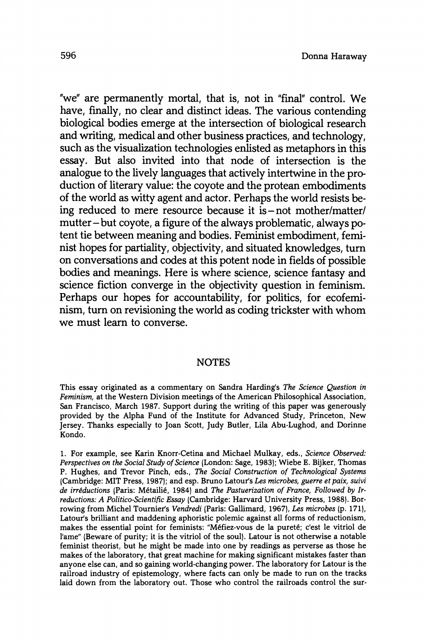**"we" are permanently mortal, that is, not in "final" control. We have, finally, no clear and distinct ideas. The various contending biological bodies emerge at the intersection of biological research and writing, medical and other business practices, and technology, such as the visualization technologies enlisted as metaphors in this essay. But also invited into that node of intersection is the analogue to the lively languages that actively intertwine in the production of literary value: the coyote and the protean embodiments of the world as witty agent and actor. Perhaps the world resists being reduced to mere resource because it is-not mother/matter/ mutter-but coyote, a figure of the always problematic, always potent tie between meaning and bodies. Feminist embodiment, feminist hopes for partiality, objectivity, and situated knowledges, turn on conversations and codes at this potent node in fields of possible bodies and meanings. Here is where science, science fantasy and science fiction converge in the objectivity question in feminism. Perhaps our hopes for accountability, for politics, for ecofeminism, turn on revisioning the world as coding trickster with whom we must learn to converse.** 

#### **NOTES**

**This essay originated as a commentary on Sandra Harding's The Science Question in Feminism, at the Western Division meetings of the American Philosophical Association, San Francisco, March 1987. Support during the writing of this paper was generously provided by the Alpha Fund of the Institute for Advanced Study, Princeton, New Jersey. Thanks especially to Joan Scott, Judy Butler, Lila Abu-Lughod, and Dorinne Kondo.** 

**1. For example, see Karin Knorr-Cetina and Michael Mulkay, eds., Science Observed: Perspectives on the Social Study of Science (London: Sage, 1983); Wiebe E. Bijker, Thomas P. Hughes, and Trevor Pinch, eds., The Social Construction of Technological Systems (Cambridge: MIT Press, 1987); and esp. Bruno Latour's Les microbes, guerre et paix, suivi**  de irréductions (Paris: Métailié, 1984) and The Pastuerization of France, Followed by Ir**reductions: A Politico-Scientific Essay (Cambridge: Harvard University Press, 1988). Borrowing from Michel Tournier's Vendredi (Paris: Gallimard, 1967), Les microbes (p. 171), Latour's brilliant and maddening aphoristic polemic against all forms of reductionism, makes the essential point for feminists: "M6fiez-vous de la puret6; c'est le vitriol de l'ame" (Beware of purity; it is the vitriol of the soul). Latour is not otherwise a notable feminist theorist, but he might be made into one by readings as perverse as those he makes of the laboratory, that great machine for making significant mistakes faster than anyone else can, and so gaining world-changing power. The laboratory for Latour is the railroad industry of epistemology, where facts can only be made to run on the tracks laid down from the laboratory out. Those who control the railroads control the sur-**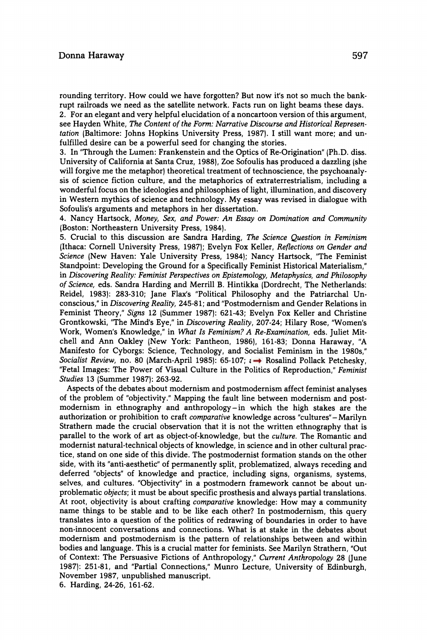**rounding territory. How could we have forgotten? But now it's not so much the bankrupt railroads we need as the satellite network. Facts run on light beams these days. 2. For an elegant and very helpful elucidation of a noncartoon version of this argument, see Hayden White, The Content of the Form: Narrative Discourse and Historical Representation (Baltimore: Johns Hopkins University Press, 1987). I still want more; and unfulfilled desire can be a powerful seed for changing the stories.** 

**3. In "Through the Lumen: Frankenstein and the Optics of Re-Origination" (Ph.D. diss. University of California at Santa Cruz, 1988), Zoe Sofoulis has produced a dazzling (she will forgive me the metaphor) theoretical treatment of technoscience, the psychoanalysis of science fiction culture, and the metaphorics of extraterrestrialism, including a wonderful focus on the ideologies and philosophies of light, illumination, and discovery in Western mythics of science and technology. My essay was revised in dialogue with Sofoulis's arguments and metaphors in her dissertation.** 

**4. Nancy Hartsock, Money, Sex, and Power: An Essay on Domination and Community (Boston: Northeastern University Press, 1984).** 

**5. Crucial to this discussion are Sandra Harding, The Science Question in Feminism (Ithaca: Cornell University Press, 1987); Evelyn Fox Keller, Reflections on Gender and Science (New Haven: Yale University Press, 1984); Nancy Hartsock, "The Feminist Standpoint: Developing the Ground for a Specifically Feminist Historical Materialism," in Discovering Reality: Feminist Perspectives on Epistemology, Metaphysics, and Philosophy of Science, eds. Sandra Harding and Merrill B. Hintikka (Dordrecht, The Netherlands:**  Reidel, 1983): 283-310; Jane Flax's "Political Philosophy and the Patriarchal Un**conscious," in Discovering Reality, 245-81; and "Postmodernism and Gender Relations in Feminist Theory," Signs 12 (Summer 1987): 621-43; Evelyn Fox Keller and Christine Grontkowski, "The Mind's Eye," in Discovering Reality, 207-24; Hilary Rose, "Women's Work, Women's Knowledge," in What Is Feminism? A Re-Examination, eds. Juliet Mitchell and Ann Oakley (New York: Pantheon, 1986), 161-83; Donna Haraway, "A Manifesto for Cyborgs: Science, Technology, and Socialist Feminism in the 1980s,"**  Socialist Review, no. 80 (March-April 1985): 65-107; and Rosalind Pollack Petchesky, **"Fetal Images: The Power of Visual Culture in the Politics of Reproduction," Feminist Studies 13 (Summer 1987): 263-92.** 

**Aspects of the debates about modernism and postmodernism affect feminist analyses of the problem of "objectivity." Mapping the fault line between modernism and postmodernism in ethnography and anthropology-in which the high stakes are the authorization or prohibition to craft comparative knowledge across "cultures"- Marilyn Strathern made the crucial observation that it is not the written ethnography that is parallel to the work of art as object-of-knowledge, but the culture. The Romantic and modernist natural-technical objects of knowledge, in science and in other cultural practice, stand on one side of this divide. The postmodernist formation stands on the other side, with its "anti-aesthetic" of permanently split, problematized, always receding and deferred "objects" of knowledge and practice, including signs, organisms, systems, selves, and cultures. "Objectivity" in a postmodern framework cannot be about unproblematic objects; it must be about specific prosthesis and always partial translations. At root, objectivity is about crafting comparative knowledge: How may a community name things to be stable and to be like each other? In postmodernism, this query translates into a question of the politics of redrawing of boundaries in order to have non-innocent conversations and connections. What is at stake in the debates about modernism and postmodernism is the pattern of relationships between and within bodies and language. This is a crucial matter for feminists. See Marilyn Strathern, "Out of Context: The Persuasive Fictions of Anthropology," Current Anthropology 28 (June 1987): 251-81, and "Partial Connections," Munro Lecture, University of Edinburgh, November 1987, unpublished manuscript. 6. Harding, 24-26, 161-62.**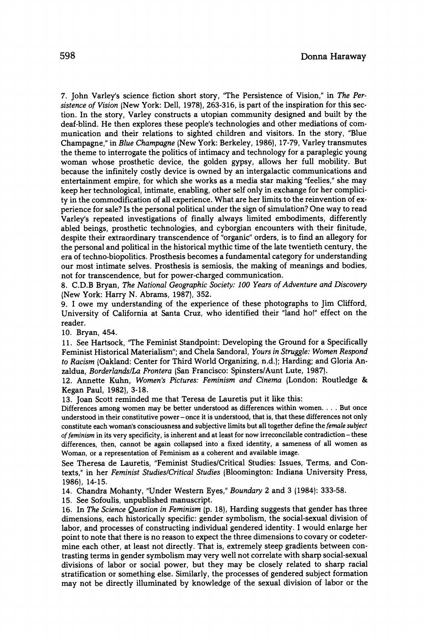**7. John Varley's science fiction short story, "The Persistence of Vision," in The Persistence of Vision (New York: Dell, 1978), 263-316, is part of the inspiration for this section. In the story, Varley constructs a utopian community designed and built by the deaf-blind. He then explores these people's technologies and other mediations of communication and their relations to sighted children and visitors. In the story, "Blue Champagne," in Blue Champagne (New York: Berkeley, 1986), 17-79, Varley transmutes the theme to interrogate the politics of intimacy and technology for a paraplegic young woman whose prosthetic device, the golden gypsy, allows her full mobility. But because the infinitely costly device is owned by an intergalactic communications and entertainment empire, for which she works as a media star making "feelies," she may keep her technological, intimate, enabling, other self only in exchange for her complicity in the commodification of all experience. What are her limits to the reinvention of experience for sale? Is the personal political under the sign of simulation? One way to read Varley's repeated investigations of finally always limited embodiments, differently abled beings, prosthetic technologies, and cyborgian encounters with their finitude, despite their extraordinary transcendence of "organic" orders, is to find an allegory for the personal and political in the historical mythic time of the late twentieth century, the era of techno-biopolitics. Prosthesis becomes a fundamental category for understanding our most intimate selves. Prosthesis is semiosis, the making of meanings and bodies, not for transcendence, but for power-charged communication.** 

**8. C.D.B Bryan, The National Geographic Society: 100 Years of Adventure and Discovery (New York: Harry N. Abrams, 1987), 352.** 

**9. I owe my understanding of the experience of these photographs to Jim Clifford, University of California at Santa Cruz, who identified their "land ho!" effect on the reader.** 

**10. Bryan, 454.** 

**11. See Hartsock, "The Feminist Standpoint: Developing the Ground for a Specifically Feminist Historical Materialism"; and Chela Sandoral, Yours in Struggle: Women Respond to Racism (Oakland: Center for Third World Organizing, n.d.); Harding; and Gloria Anzaldua, Borderlands/La Frontera (San Francisco: Spinsters/Aunt Lute, 1987).** 

**12. Annette Kuhn, Women's Pictures: Feminism and Cinema (London: Routledge & Kegan Paul, 1982), 3-18.** 

**13. Joan Scott reminded me that Teresa de Lauretis put it like this:** 

Differences among women may be better understood as differences within women. . . . But once Differences allow women may be better understood as unferences whilm women.  $\ldots$  but once understood in their constitutive power – once it is understood, that is, that these differences not only **constitute each woman's consciousness and subjective limits but all together define the female subject of feminism in its very specificity, is inherent and at least for now irreconcilable contradiction-these differences, then, cannot be again collapsed into a fixed identity, a sameness of all women as Woman, or a representation of Feminism as a coherent and available image.** 

**See Theresa de Lauretis, "Feminist Studies/Critical Studies: Issues, Terms, and Contexts," in her Feminist Studies/Critical Studies (Bloomington: Indiana University Press, 1986), 14-15.** 

**14. Chandra Mohanty, "Under Western Eyes," Boundary 2 and 3 (1984): 333-58.** 

**15. See Sofoulis, unpublished manuscript.** 

**16. In The Science Question in Feminism (p. 18), Harding suggests that gender has three dimensions, each historically specific: gender symbolism, the social-sexual division of labor, and processes of constructing individual gendered identity. I would enlarge her point to note that there is no reason to expect the three dimensions to covary or codetermine each other, at least not directly. That is, extremely steep gradients between contrasting terms in gender symbolism may very well not correlate with sharp social-sexual divisions of labor or social power, but they may be closely related to sharp racial stratification or something else. Similarly, the processes of gendered subject formation may not be directly illuminated by knowledge of the sexual division of labor or the**